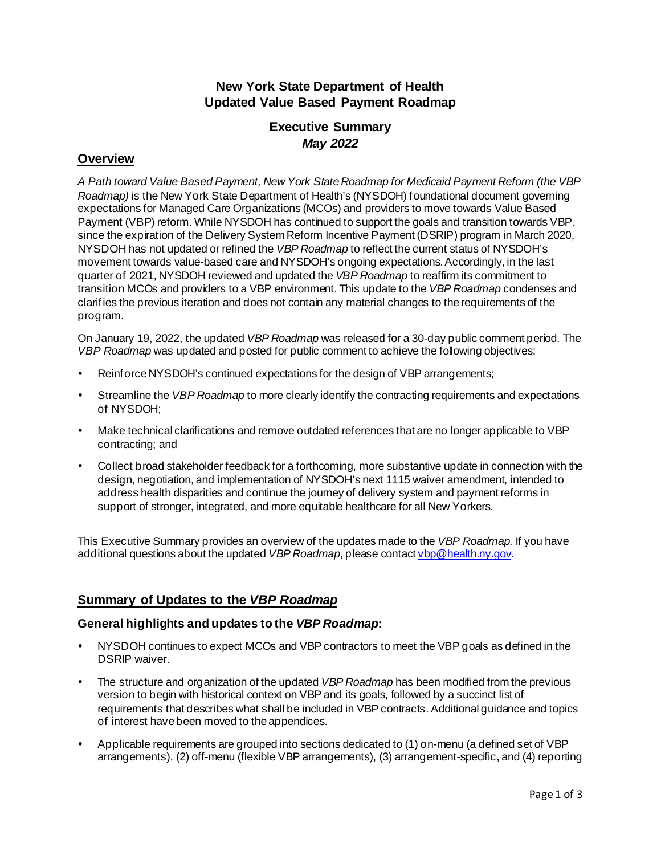## **New York State Department of Health Updated Value Based Payment Roadmap**

# **Executive Summary** *May 2022*

### **Overview**

*A Path toward Value Based Payment, New York State Roadmap for Medicaid Payment Reform (the VBP Roadmap)* is the New York State Department of Health's (NYSDOH) foundational document governing expectations for Managed Care Organizations (MCOs) and providers to move towards Value Based Payment (VBP) reform. While NYSDOH has continued to support the goals and transition towards VBP, since the expiration of the Delivery System Reform Incentive Payment (DSRIP) program in March 2020, NYSDOH has not updated or refined the *VBP Roadmap* to reflect the current status of NYSDOH's movement towards value-based care and NYSDOH's ongoing expectations. Accordingly, in the last quarter of 2021, NYSDOH reviewed and updated the *VBP Roadmap* to reaffirm its commitment to transition MCOs and providers to a VBP environment. This update to the *VBP Roadmap* condenses and clarifies the previous iteration and does not contain any material changes to the requirements of the program.

On January 19, 2022, the updated *VBP Roadmap* was released for a 30-day public comment period. The *VBP Roadmap* was updated and posted for public comment to achieve the following objectives:

- Reinforce NYSDOH's continued expectations for the design of VBP arrangements;
- Streamline the *VBP Roadmap* to more clearly identify the contracting requirements and expectations of NYSDOH;
- Make technical clarifications and remove outdated references that are no longer applicable to VBP contracting; and
- Collect broad stakeholder feedback for a forthcoming, more substantive update in connection with the design, negotiation, and implementation of NYSDOH's next 1115 waiver amendment, intended to address health disparities and continue the journey of delivery system and payment reforms in support of stronger, integrated, and more equitable healthcare for all New Yorkers.

This Executive Summary provides an overview of the updates made to the *VBP Roadmap*. If you have additional questions about the updated *VBP Roadmap*, please contact [vbp@health.ny.gov.](mailto:vbp@health.ny.gov)

#### **Summary of Updates to the** *VBP Roadmap*

#### **General highlights and updates to the** *VBP Roadmap***:**

- NYSDOH continues to expect MCOs and VBP contractors to meet the VBP goals as defined in the DSRIP waiver.
- The structure and organization of the updated *VBP Roadmap* has been modified from the previous version to begin with historical context on VBP and its goals, followed by a succinct list of requirements that describes what shall be included in VBP contracts. Additional guidance and topics of interest have been moved to the appendices.
- Applicable requirements are grouped into sections dedicated to (1) on-menu (a defined set of VBP arrangements), (2) off-menu (flexible VBP arrangements), (3) arrangement-specific, and (4) reporting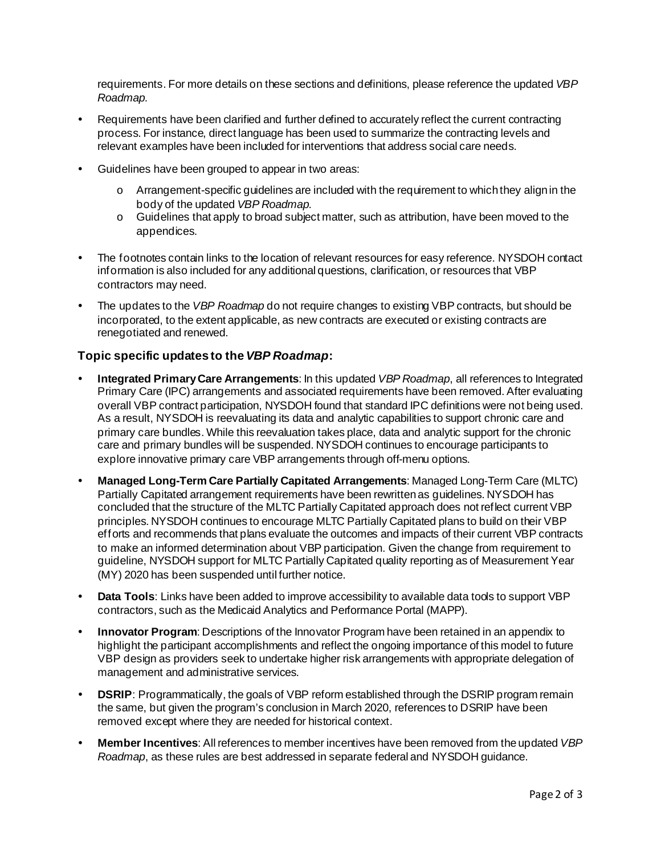requirements. For more details on these sections and definitions, please reference the updated *VBP Roadmap.*

- Requirements have been clarified and further defined to accurately reflect the current contracting process. For instance, direct language has been used to summarize the contracting levels and relevant examples have been included for interventions that address social care needs.
- Guidelines have been grouped to appear in two areas:
	- $\circ$  Arrangement-specific guidelines are included with the requirement to which they align in the body of the updated *VBP Roadmap.*
	- $\circ$  Guidelines that apply to broad subject matter, such as attribution, have been moved to the appendices.
- The footnotes contain links to the location of relevant resources for easy reference. NYSDOH contact information is also included for any additional questions, clarification, or resources that VBP contractors may need.
- The updates to the *VBP Roadmap* do not require changes to existing VBP contracts, but should be incorporated, to the extent applicable, as new contracts are executed or existing contracts are renegotiated and renewed.

#### **Topic specific updates to the***VBP Roadmap***:**

- **Integrated Primary Care Arrangements**: In this updated *VBP Roadmap*, all references to Integrated Primary Care (IPC) arrangements and associated requirements have been removed. After evaluating overall VBP contract participation, NYSDOH found that standard IPC definitions were not being used. As a result, NYSDOH is reevaluating its data and analytic capabilities to support chronic care and primary care bundles. While this reevaluation takes place, data and analytic support for the chronic care and primary bundles will be suspended. NYSDOH continues to encourage participants to explore innovative primary care VBP arrangements through off-menu options.
- **Managed Long-Term Care Partially Capitated Arrangements**: Managed Long-Term Care (MLTC) Partially Capitated arrangement requirements have been rewritten as guidelines. NYSDOH has concluded that the structure of the MLTC Partially Capitated approach does not reflect current VBP principles. NYSDOH continues to encourage MLTC Partially Capitated plans to build on their VBP efforts and recommends that plans evaluate the outcomes and impacts of their current VBP contracts to make an informed determination about VBP participation. Given the change from requirement to guideline, NYSDOH support for MLTC Partially Capitated quality reporting as of Measurement Year (MY) 2020 has been suspended until further notice.
- **Data Tools**: Links have been added to improve accessibility to available data tools to support VBP contractors, such as the Medicaid Analytics and Performance Portal (MAPP).
- **Innovator Program**: Descriptions of the Innovator Program have been retained in an appendix to highlight the participant accomplishments and reflect the ongoing importance of this model to future VBP design as providers seek to undertake higher risk arrangements with appropriate delegation of management and administrative services.
- **DSRIP:** Programmatically, the goals of VBP reform established through the DSRIP program remain the same, but given the program's conclusion in March 2020, references to DSRIP have been removed except where they are needed for historical context.
- **Member Incentives**: All references to member incentives have been removed from the updated *VBP Roadmap*, as these rules are best addressed in separate federal and NYSDOH guidance.